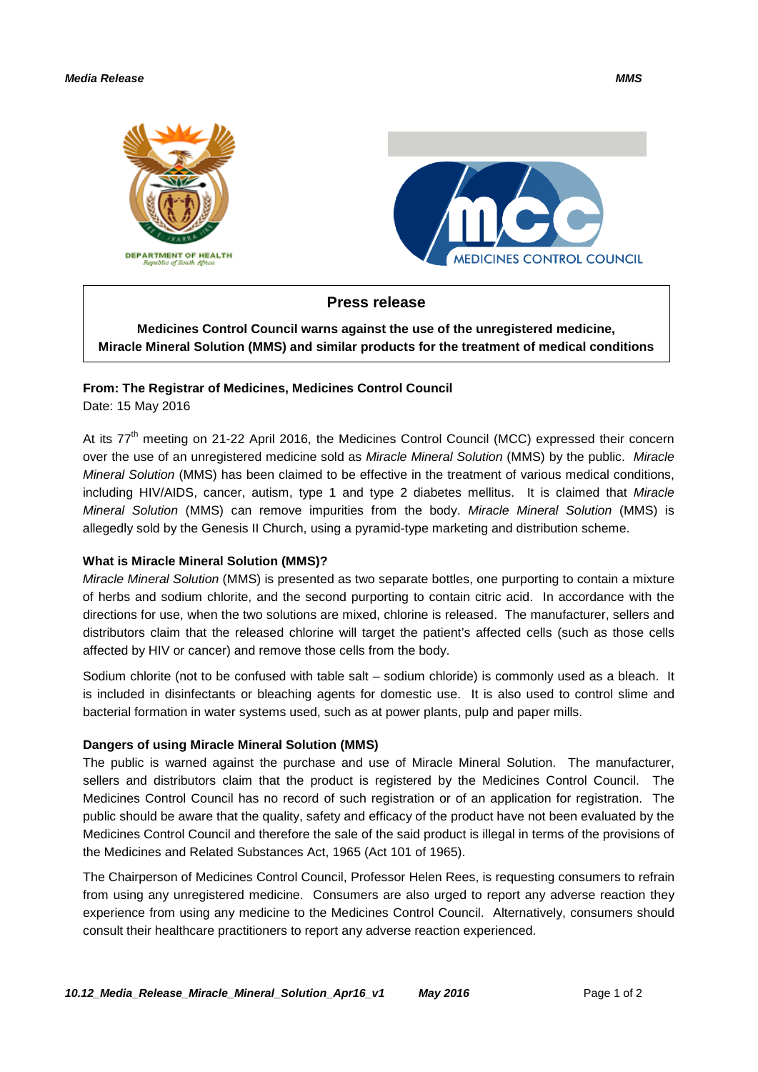#### *Media Release MMS*





## **Press release**

**Medicines Control Council warns against the use of the unregistered medicine, Miracle Mineral Solution (MMS) and similar products for the treatment of medical conditions**

### **From: The Registrar of Medicines, Medicines Control Council**

Date: 15 May 2016

At its 77<sup>th</sup> meeting on 21-22 April 2016, the Medicines Control Council (MCC) expressed their concern over the use of an unregistered medicine sold as *Miracle Mineral Solution* (MMS) by the public. *Miracle Mineral Solution* (MMS) has been claimed to be effective in the treatment of various medical conditions, including HIV/AIDS, cancer, autism, type 1 and type 2 diabetes mellitus. It is claimed that *Miracle Mineral Solution* (MMS) can remove impurities from the body. *Miracle Mineral Solution* (MMS) is allegedly sold by the Genesis II Church, using a pyramid-type marketing and distribution scheme.

### **What is Miracle Mineral Solution (MMS)?**

*Miracle Mineral Solution* (MMS) is presented as two separate bottles, one purporting to contain a mixture of herbs and sodium chlorite, and the second purporting to contain citric acid. In accordance with the directions for use, when the two solutions are mixed, chlorine is released. The manufacturer, sellers and distributors claim that the released chlorine will target the patient's affected cells (such as those cells affected by HIV or cancer) and remove those cells from the body.

Sodium chlorite (not to be confused with table salt – sodium chloride) is commonly used as a bleach. It is included in disinfectants or bleaching agents for domestic use. It is also used to control slime and bacterial formation in water systems used, such as at power plants, pulp and paper mills.

### **Dangers of using Miracle Mineral Solution (MMS)**

The public is warned against the purchase and use of Miracle Mineral Solution. The manufacturer, sellers and distributors claim that the product is registered by the Medicines Control Council. The Medicines Control Council has no record of such registration or of an application for registration. The public should be aware that the quality, safety and efficacy of the product have not been evaluated by the Medicines Control Council and therefore the sale of the said product is illegal in terms of the provisions of the Medicines and Related Substances Act, 1965 (Act 101 of 1965).

The Chairperson of Medicines Control Council, Professor Helen Rees, is requesting consumers to refrain from using any unregistered medicine. Consumers are also urged to report any adverse reaction they experience from using any medicine to the Medicines Control Council. Alternatively, consumers should consult their healthcare practitioners to report any adverse reaction experienced.